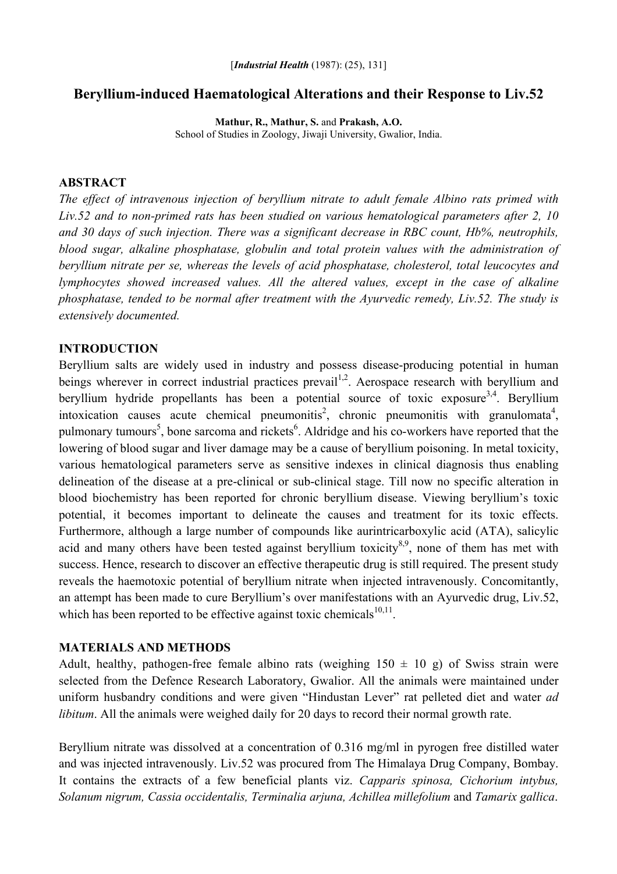# **Beryllium-induced Haematological Alterations and their Response to Liv.52**

**Mathur, R., Mathur, S.** and **Prakash, A.O.**  School of Studies in Zoology, Jiwaji University, Gwalior, India.

### **ABSTRACT**

*The effect of intravenous injection of beryllium nitrate to adult female Albino rats primed with Liv.52 and to non-primed rats has been studied on various hematological parameters after 2, 10 and 30 days of such injection. There was a significant decrease in RBC count, Hb%, neutrophils, blood sugar, alkaline phosphatase, globulin and total protein values with the administration of beryllium nitrate per se, whereas the levels of acid phosphatase, cholesterol, total leucocytes and lymphocytes showed increased values. All the altered values, except in the case of alkaline phosphatase, tended to be normal after treatment with the Ayurvedic remedy, Liv.52. The study is extensively documented.* 

## **INTRODUCTION**

Beryllium salts are widely used in industry and possess disease-producing potential in human beings wherever in correct industrial practices prevail<sup>1,2</sup>. Aerospace research with beryllium and beryllium hydride propellants has been a potential source of toxic exposure<sup>3,4</sup>. Beryllium intoxication causes acute chemical pneumonitis<sup>2</sup>, chronic pneumonitis with granulomata<sup>4</sup>, pulmonary tumours<sup>5</sup>, bone sarcoma and rickets<sup>6</sup>. Aldridge and his co-workers have reported that the lowering of blood sugar and liver damage may be a cause of beryllium poisoning. In metal toxicity, various hematological parameters serve as sensitive indexes in clinical diagnosis thus enabling delineation of the disease at a pre-clinical or sub-clinical stage. Till now no specific alteration in blood biochemistry has been reported for chronic beryllium disease. Viewing beryllium's toxic potential, it becomes important to delineate the causes and treatment for its toxic effects. Furthermore, although a large number of compounds like aurintricarboxylic acid (ATA), salicylic acid and many others have been tested against beryllium toxicity<sup>8,9</sup>, none of them has met with success. Hence, research to discover an effective therapeutic drug is still required. The present study reveals the haemotoxic potential of beryllium nitrate when injected intravenously. Concomitantly, an attempt has been made to cure Beryllium's over manifestations with an Ayurvedic drug, Liv.52, which has been reported to be effective against toxic chemicals $10,11$ .

#### **MATERIALS AND METHODS**

Adult, healthy, pathogen-free female albino rats (weighing  $150 \pm 10$  g) of Swiss strain were selected from the Defence Research Laboratory, Gwalior. All the animals were maintained under uniform husbandry conditions and were given "Hindustan Lever" rat pelleted diet and water *ad libitum*. All the animals were weighed daily for 20 days to record their normal growth rate.

Beryllium nitrate was dissolved at a concentration of 0.316 mg/ml in pyrogen free distilled water and was injected intravenously. Liv.52 was procured from The Himalaya Drug Company, Bombay. It contains the extracts of a few beneficial plants viz. *Capparis spinosa, Cichorium intybus, Solanum nigrum, Cassia occidentalis, Terminalia arjuna, Achillea millefolium* and *Tamarix gallica*.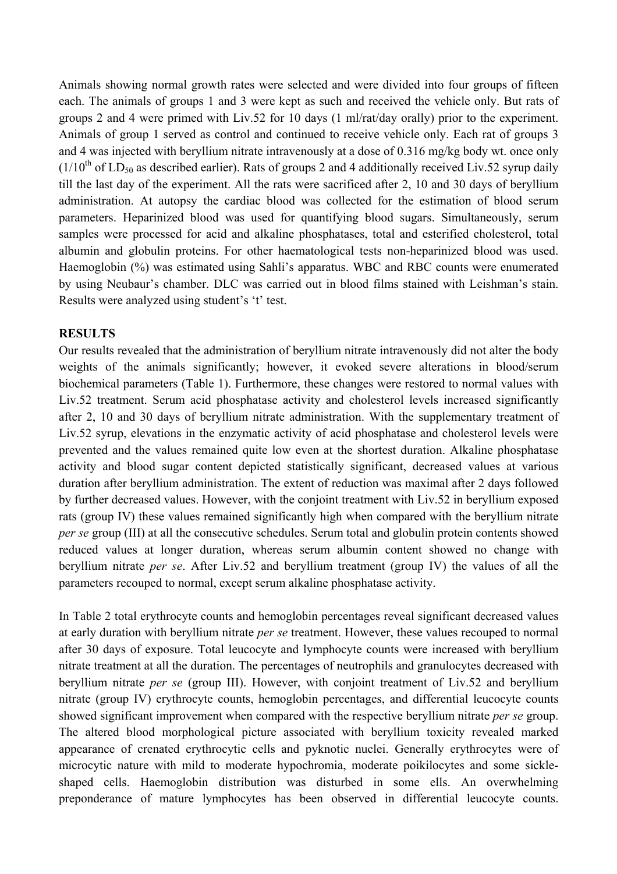Animals showing normal growth rates were selected and were divided into four groups of fifteen each. The animals of groups 1 and 3 were kept as such and received the vehicle only. But rats of groups 2 and 4 were primed with Liv.52 for 10 days (1 ml/rat/day orally) prior to the experiment. Animals of group 1 served as control and continued to receive vehicle only. Each rat of groups 3 and 4 was injected with beryllium nitrate intravenously at a dose of 0.316 mg/kg body wt. once only  $(1/10<sup>th</sup>$  of LD<sub>50</sub> as described earlier). Rats of groups 2 and 4 additionally received Liv.52 syrup daily till the last day of the experiment. All the rats were sacrificed after 2, 10 and 30 days of beryllium administration. At autopsy the cardiac blood was collected for the estimation of blood serum parameters. Heparinized blood was used for quantifying blood sugars. Simultaneously, serum samples were processed for acid and alkaline phosphatases, total and esterified cholesterol, total albumin and globulin proteins. For other haematological tests non-heparinized blood was used. Haemoglobin (%) was estimated using Sahli's apparatus. WBC and RBC counts were enumerated by using Neubaur's chamber. DLC was carried out in blood films stained with Leishman's stain. Results were analyzed using student's 't' test.

# **RESULTS**

Our results revealed that the administration of beryllium nitrate intravenously did not alter the body weights of the animals significantly; however, it evoked severe alterations in blood/serum biochemical parameters (Table 1). Furthermore, these changes were restored to normal values with Liv.52 treatment. Serum acid phosphatase activity and cholesterol levels increased significantly after 2, 10 and 30 days of beryllium nitrate administration. With the supplementary treatment of Liv.52 syrup, elevations in the enzymatic activity of acid phosphatase and cholesterol levels were prevented and the values remained quite low even at the shortest duration. Alkaline phosphatase activity and blood sugar content depicted statistically significant, decreased values at various duration after beryllium administration. The extent of reduction was maximal after 2 days followed by further decreased values. However, with the conjoint treatment with Liv.52 in beryllium exposed rats (group IV) these values remained significantly high when compared with the beryllium nitrate *per se group* (III) at all the consecutive schedules. Serum total and globulin protein contents showed reduced values at longer duration, whereas serum albumin content showed no change with beryllium nitrate *per se*. After Liv.52 and beryllium treatment (group IV) the values of all the parameters recouped to normal, except serum alkaline phosphatase activity.

In Table 2 total erythrocyte counts and hemoglobin percentages reveal significant decreased values at early duration with beryllium nitrate *per se* treatment. However, these values recouped to normal after 30 days of exposure. Total leucocyte and lymphocyte counts were increased with beryllium nitrate treatment at all the duration. The percentages of neutrophils and granulocytes decreased with beryllium nitrate *per se* (group III). However, with conjoint treatment of Liv.52 and beryllium nitrate (group IV) erythrocyte counts, hemoglobin percentages, and differential leucocyte counts showed significant improvement when compared with the respective beryllium nitrate *per se* group. The altered blood morphological picture associated with beryllium toxicity revealed marked appearance of crenated erythrocytic cells and pyknotic nuclei. Generally erythrocytes were of microcytic nature with mild to moderate hypochromia, moderate poikilocytes and some sickleshaped cells. Haemoglobin distribution was disturbed in some ells. An overwhelming preponderance of mature lymphocytes has been observed in differential leucocyte counts.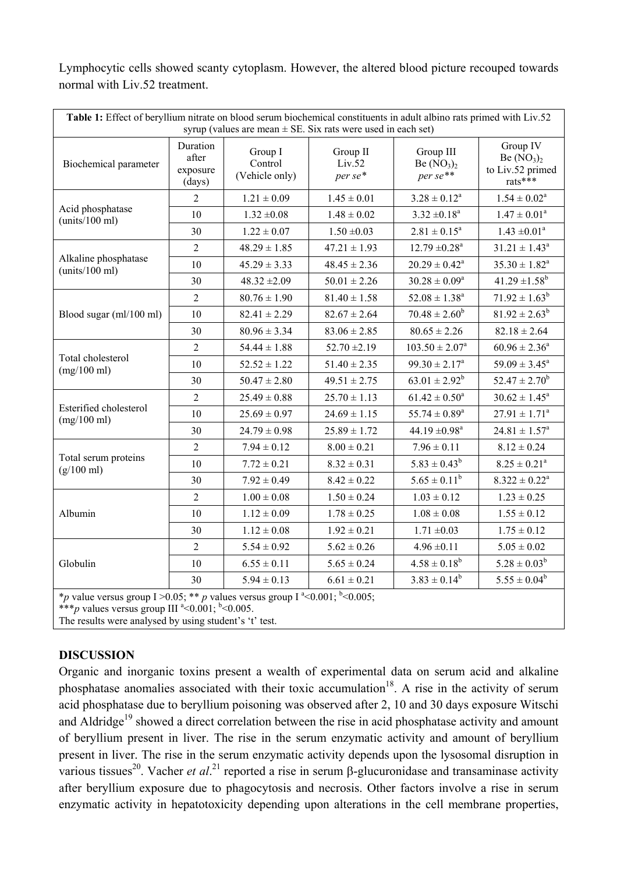Lymphocytic cells showed scanty cytoplasm. However, the altered blood picture recouped towards normal with Liv.52 treatment.

| Table 1: Effect of beryllium nitrate on blood serum biochemical constituents in adult albino rats primed with Liv.52<br>syrup (values are mean $\pm$ SE. Six rats were used in each set) |                                         |                                      |                               |                                      |                                                        |  |  |  |
|------------------------------------------------------------------------------------------------------------------------------------------------------------------------------------------|-----------------------------------------|--------------------------------------|-------------------------------|--------------------------------------|--------------------------------------------------------|--|--|--|
| Biochemical parameter                                                                                                                                                                    | Duration<br>after<br>exposure<br>(days) | Group I<br>Control<br>(Vehicle only) | Group II<br>Liv.52<br>per se* | Group III<br>Be $(NO3)2$<br>per se** | Group IV<br>Be $(NO3)2$<br>to Liv.52 primed<br>rats*** |  |  |  |
| Acid phosphatase<br>(units/100 ml)                                                                                                                                                       | $\overline{2}$                          | $1.21\pm0.09$                        | $1.45 \pm 0.01$               | $3.28 \pm 0.12^a$                    | $1.54 \pm 0.02^a$                                      |  |  |  |
|                                                                                                                                                                                          | 10                                      | $1.32 \pm 0.08$                      | $1.48 \pm 0.02$               | $3.32 \pm 0.18^a$                    | $1.47 \pm 0.01^a$                                      |  |  |  |
|                                                                                                                                                                                          | 30                                      | $1.22 \pm 0.07$                      | $1.50 \pm 0.03$               | $2.81 \pm 0.15^a$                    | $1.43 \pm 0.01^a$                                      |  |  |  |
| Alkaline phosphatase<br>(units/100 ml)                                                                                                                                                   | $\overline{c}$                          | $48.29 \pm 1.85$                     | $47.21 \pm 1.93$              | $12.79 \pm 0.28$ <sup>a</sup>        | $31.21 \pm 1.43^a$                                     |  |  |  |
|                                                                                                                                                                                          | 10                                      | $45.29 \pm 3.33$                     | $48.45 \pm 2.36$              | $20.29 \pm 0.42^a$                   | $35.30 \pm 1.82^a$                                     |  |  |  |
|                                                                                                                                                                                          | 30                                      | $48.32 \pm 2.09$                     | $50.01 \pm 2.26$              | $30.28 \pm 0.09^a$                   | $41.29 \pm 1.58^b$                                     |  |  |  |
| Blood sugar (ml/100 ml)                                                                                                                                                                  | 2                                       | $80.76 \pm 1.90$                     | $81.40 \pm 1.58$              | $52.08 \pm 1.38^a$                   | $71.92 \pm 1.63^b$                                     |  |  |  |
|                                                                                                                                                                                          | 10                                      | $82.41 \pm 2.29$                     | $82.67 \pm 2.64$              | $70.48 \pm 2.60^b$                   | $81.92 \pm 2.63^b$                                     |  |  |  |
|                                                                                                                                                                                          | 30                                      | $80.96 \pm 3.34$                     | $83.06 \pm 2.85$              | $80.65 \pm 2.26$                     | $82.18 \pm 2.64$                                       |  |  |  |
|                                                                                                                                                                                          | $\overline{c}$                          | $54.44 \pm 1.88$                     | $52.70 \pm 2.19$              | $103.50 \pm 2.07^a$                  | $60.96 \pm 2.36^a$                                     |  |  |  |
| Total cholesterol<br>(mg/100 ml)                                                                                                                                                         | 10                                      | $52.52 \pm 1.22$                     | $51.40 \pm 2.35$              | $99.30 \pm 2.17^a$                   | $59.09 \pm 3.45^a$                                     |  |  |  |
|                                                                                                                                                                                          | 30                                      | $50.47 \pm 2.80$                     | $49.51 \pm 2.75$              | $63.01 \pm 2.92^b$                   | $52.47 \pm 2.70^b$                                     |  |  |  |
|                                                                                                                                                                                          | $\overline{2}$                          | $25.49 \pm 0.88$                     | $25.70 \pm 1.13$              | $61.42 \pm 0.50^a$                   | $30.62 \pm 1.45^a$                                     |  |  |  |
| Esterified cholesterol<br>(mg/100 ml)                                                                                                                                                    | 10                                      | $25.69 \pm 0.97$                     | $24.69 \pm 1.15$              | $55.74\pm0.89^{\rm a}$               | $27.91 \pm 1.71^a$                                     |  |  |  |
|                                                                                                                                                                                          | 30                                      | $24.79 \pm 0.98$                     | $25.89 \pm 1.72$              | 44.19 $\pm 0.98$ <sup>a</sup>        | $24.81 \pm 1.57^a$                                     |  |  |  |
| Total serum proteins<br>$(g/100 \text{ ml})$                                                                                                                                             | $\overline{2}$                          | $7.94 \pm 0.12$                      | $8.00 \pm 0.21$               | $7.96 \pm 0.11$                      | $8.12 \pm 0.24$                                        |  |  |  |
|                                                                                                                                                                                          | 10                                      | $7.72 \pm 0.21$                      | $8.32 \pm 0.31$               | $5.83 \pm 0.43^b$                    | $8.25 \pm 0.21^a$                                      |  |  |  |
|                                                                                                                                                                                          | 30                                      | $7.92 \pm 0.49$                      | $8.42 \pm 0.22$               | $5.65 \pm 0.11^b$                    | $8.322 \pm 0.22^a$                                     |  |  |  |
| Albumin                                                                                                                                                                                  | $\overline{c}$                          | $1.00 \pm 0.08$                      | $1.50 \pm 0.24$               | $1.03 \pm 0.12$                      | $1.23 \pm 0.25$                                        |  |  |  |
|                                                                                                                                                                                          | 10                                      | $1.12 \pm 0.09$                      | $1.78 \pm 0.25$               | $1.08 \pm 0.08$                      | $1.55 \pm 0.12$                                        |  |  |  |
|                                                                                                                                                                                          | 30                                      | $1.12 \pm 0.08$                      | $1.92 \pm 0.21$               | $1.71 \pm 0.03$                      | $1.75 \pm 0.12$                                        |  |  |  |
| Globulin                                                                                                                                                                                 | 2                                       | $5.54 \pm 0.92$                      | $5.62 \pm 0.26$               | $4.96 \pm 0.11$                      | $5.05 \pm 0.02$                                        |  |  |  |
|                                                                                                                                                                                          | 10                                      | $6.55 \pm 0.11$                      | $5.65 \pm 0.24$               | $4.58 \pm 0.18^b$                    | $5.28 \pm 0.03^b$                                      |  |  |  |
|                                                                                                                                                                                          | 30                                      | $5.94 \pm 0.13$                      | $6.61 \pm 0.21$               | $3.83 \pm 0.14^b$                    | $5.55 \pm 0.04^b$                                      |  |  |  |
| * rely versus $\sigma$ and $I > 0.05$ . ** rely $\sigma$ versus $\sigma$ and $I^a < 0.001$ . $\sigma$ $\sim 0.005$ .                                                                     |                                         |                                      |                               |                                      |                                                        |  |  |  |

\**p* value versus group I > 0.05; \*\* *p* values versus group I  $\textdegree$  < 0.001;  $\textdegree$  < 0.005;

\*\*\**p* values versus group III  $^{a}$  < 0.001;  $^{b}$  < 0.005.

The results were analysed by using student's 't' test.

## **DISCUSSION**

Organic and inorganic toxins present a wealth of experimental data on serum acid and alkaline phosphatase anomalies associated with their toxic accumulation<sup>18</sup>. A rise in the activity of serum acid phosphatase due to beryllium poisoning was observed after 2, 10 and 30 days exposure Witschi and Aldridge<sup>19</sup> showed a direct correlation between the rise in acid phosphatase activity and amount of beryllium present in liver. The rise in the serum enzymatic activity and amount of beryllium present in liver. The rise in the serum enzymatic activity depends upon the lysosomal disruption in various tissues<sup>20</sup>. Vacher *et al*.<sup>21</sup> reported a rise in serum β-glucuronidase and transaminase activity after beryllium exposure due to phagocytosis and necrosis. Other factors involve a rise in serum enzymatic activity in hepatotoxicity depending upon alterations in the cell membrane properties,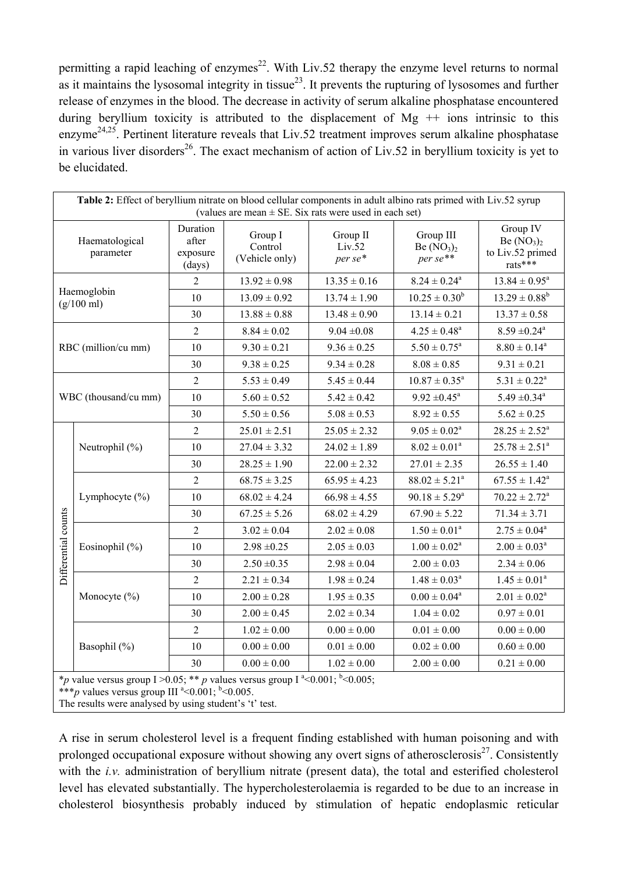permitting a rapid leaching of enzymes<sup>22</sup>. With Liv.52 therapy the enzyme level returns to normal as it maintains the lysosomal integrity in tissue<sup>23</sup>. It prevents the rupturing of lysosomes and further release of enzymes in the blood. The decrease in activity of serum alkaline phosphatase encountered during beryllium toxicity is attributed to the displacement of  $Mg + \theta$  ions intrinsic to this enzyme<sup>24,25</sup>. Pertinent literature reveals that Liv.52 treatment improves serum alkaline phosphatase in various liver disorders<sup>26</sup>. The exact mechanism of action of Liv.52 in beryllium toxicity is yet to be elucidated.

| Table 2: Effect of beryllium nitrate on blood cellular components in adult albino rats primed with Liv.52 syrup<br>(values are mean $\pm$ SE. Six rats were used in each set)  |                    |                                         |                                      |                               |                                      |                                                          |  |  |
|--------------------------------------------------------------------------------------------------------------------------------------------------------------------------------|--------------------|-----------------------------------------|--------------------------------------|-------------------------------|--------------------------------------|----------------------------------------------------------|--|--|
| Haematological<br>parameter                                                                                                                                                    |                    | Duration<br>after<br>exposure<br>(days) | Group I<br>Control<br>(Vehicle only) | Group II<br>Liv.52<br>per se* | Group III<br>Be $(NO3)2$<br>per se** | Group IV<br>Be $(NO3)2$<br>to Liv.52 primed<br>$rats***$ |  |  |
| Haemoglobin<br>$(g/100 \text{ ml})$                                                                                                                                            |                    | 2                                       | $13.92 \pm 0.98$                     | $13.35 \pm 0.16$              | $8.24 \pm 0.24^a$                    | $13.84 \pm 0.95^a$                                       |  |  |
|                                                                                                                                                                                |                    | 10                                      | $13.09 \pm 0.92$                     | $13.74 \pm 1.90$              | $10.25 \pm 0.30^b$                   | $13.29 \pm 0.88^b$                                       |  |  |
|                                                                                                                                                                                |                    | 30                                      | $13.88 \pm 0.88$                     | $13.48 \pm 0.90$              | $13.14 \pm 0.21$                     | $13.37 \pm 0.58$                                         |  |  |
| RBC (million/cu mm)                                                                                                                                                            |                    | $\overline{2}$                          | $8.84 \pm 0.02$                      | $9.04 \pm 0.08$               | $4.25 \pm 0.48^a$                    | $8.59 \pm 0.24$ <sup>a</sup>                             |  |  |
|                                                                                                                                                                                |                    | 10                                      | $9.30 \pm 0.21$                      | $9.36 \pm 0.25$               | $5.50 \pm 0.75^a$                    | $8.80 \pm 0.14^a$                                        |  |  |
|                                                                                                                                                                                |                    | 30                                      | $9.38 \pm 0.25$                      | $9.34 \pm 0.28$               | $8.08 \pm 0.85$                      | $9.31 \pm 0.21$                                          |  |  |
| WBC (thousand/cu mm)                                                                                                                                                           |                    | $\overline{2}$                          | $5.53 \pm 0.49$                      | $5.45 \pm 0.44$               | $10.87 \pm 0.35^a$                   | $5.31 \pm 0.22^a$                                        |  |  |
|                                                                                                                                                                                |                    | 10                                      | $5.60 \pm 0.52$                      | $5.42 \pm 0.42$               | $9.92 \pm 0.45^a$                    | $5.49 \pm 0.34$ <sup>a</sup>                             |  |  |
|                                                                                                                                                                                |                    | 30                                      | $5.50 \pm 0.56$                      | $5.08 \pm 0.53$               | $8.92 \pm 0.55$                      | $5.62 \pm 0.25$                                          |  |  |
| Differential counts                                                                                                                                                            | Neutrophil $(\% )$ | $\overline{2}$                          | $25.01 \pm 2.51$                     | $25.05 \pm 2.32$              | $9.05 \pm 0.02^a$                    | $28.25 \pm 2.52^a$                                       |  |  |
|                                                                                                                                                                                |                    | 10                                      | $27.04 \pm 3.32$                     | $24.02 \pm 1.89$              | $8.02 \pm 0.01^a$                    | $25.78 \pm 2.51^a$                                       |  |  |
|                                                                                                                                                                                |                    | 30                                      | $28.25 \pm 1.90$                     | $22.00 \pm 2.32$              | $27.01 \pm 2.35$                     | $26.55 \pm 1.40$                                         |  |  |
|                                                                                                                                                                                | Lymphocyte $(\% )$ | $\overline{2}$                          | $68.75 \pm 3.25$                     | $65.95 \pm 4.23$              | $88.02 \pm 5.21^a$                   | $67.55 \pm 1.42^a$                                       |  |  |
|                                                                                                                                                                                |                    | 10                                      | $68.02 \pm 4.24$                     | $66.98 \pm 4.55$              | $90.18 \pm 5.29^a$                   | $70.22 \pm 2.72^a$                                       |  |  |
|                                                                                                                                                                                |                    | 30                                      | $67.25 \pm 5.26$                     | $68.02 \pm 4.29$              | $67.90 \pm 5.22$                     | $71.34 \pm 3.71$                                         |  |  |
|                                                                                                                                                                                | Eosinophil (%)     | $\sqrt{2}$                              | $3.02 \pm 0.04$                      | $2.02 \pm 0.08$               | $1.50 \pm 0.01^a$                    | $2.75 \pm 0.04^a$                                        |  |  |
|                                                                                                                                                                                |                    | 10                                      | $2.98 \pm 0.25$                      | $2.05 \pm 0.03$               | $1.00 \pm 0.02^a$                    | $2.00 \pm 0.03^a$                                        |  |  |
|                                                                                                                                                                                |                    | 30                                      | $2.50 \pm 0.35$                      | $2.98 \pm 0.04$               | $2.00 \pm 0.03$                      | $2.34 \pm 0.06$                                          |  |  |
|                                                                                                                                                                                | Monocyte $(\% )$   | $\overline{2}$                          | $2.21 \pm 0.34$                      | $1.98 \pm 0.24$               | $1.48\pm0.03^{\rm a}$                | $1.45 \pm 0.01^a$                                        |  |  |
|                                                                                                                                                                                |                    | 10                                      | $2.00 \pm 0.28$                      | $1.95 \pm 0.35$               | $0.00 \pm 0.04^a$                    | $2.01 \pm 0.02^a$                                        |  |  |
|                                                                                                                                                                                |                    | 30                                      | $2.00 \pm 0.45$                      | $2.02 \pm 0.34$               | $1.04 \pm 0.02$                      | $0.97 \pm 0.01$                                          |  |  |
|                                                                                                                                                                                | Basophil (%)       | $\overline{2}$                          | $1.02 \pm 0.00$                      | $0.00 \pm 0.00$               | $0.01\pm0.00$                        | $0.00\pm0.00$                                            |  |  |
|                                                                                                                                                                                |                    | 10                                      | $0.00 \pm 0.00$                      | $0.01\pm0.00$                 | $0.02 \pm 0.00$                      | $0.60 \pm 0.00$                                          |  |  |
|                                                                                                                                                                                |                    | 30                                      | $0.00 \pm 0.00$                      | $1.02 \pm 0.00$               | $2.00 \pm 0.00$                      | $0.21 \pm 0.00$                                          |  |  |
| *p value versus group I > 0.05; ** p values versus group I $^{a}$ < 0.001; $^{b}$ < 0.005;<br>*** <i>p</i> values versus group III <sup>a</sup> < 0.001; <sup>b</sup> < 0.005. |                    |                                         |                                      |                               |                                      |                                                          |  |  |

The results were analysed by using student's 't' test.

A rise in serum cholesterol level is a frequent finding established with human poisoning and with prolonged occupational exposure without showing any overt signs of atherosclerosis $^{27}$ . Consistently with the *i.v.* administration of beryllium nitrate (present data), the total and esterified cholesterol level has elevated substantially. The hypercholesterolaemia is regarded to be due to an increase in cholesterol biosynthesis probably induced by stimulation of hepatic endoplasmic reticular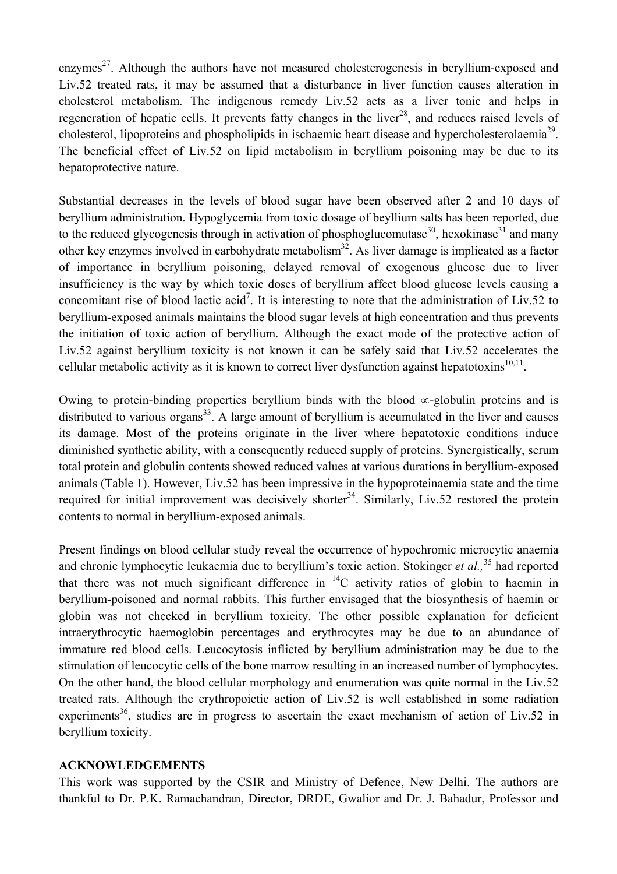enzymes<sup>27</sup>. Although the authors have not measured cholesterogenesis in beryllium-exposed and Liv.52 treated rats, it may be assumed that a disturbance in liver function causes alteration in cholesterol metabolism. The indigenous remedy Liv.52 acts as a liver tonic and helps in regeneration of hepatic cells. It prevents fatty changes in the liver<sup>28</sup>, and reduces raised levels of cholesterol, lipoproteins and phospholipids in ischaemic heart disease and hypercholesterolaemia<sup>29</sup>. The beneficial effect of Liv.52 on lipid metabolism in beryllium poisoning may be due to its hepatoprotective nature.

Substantial decreases in the levels of blood sugar have been observed after 2 and 10 days of beryllium administration. Hypoglycemia from toxic dosage of beyllium salts has been reported, due to the reduced glycogenesis through in activation of phosphoglucomutase<sup>30</sup>, hexokinase<sup>31</sup> and many other key enzymes involved in carbohydrate metabolism<sup>32</sup>. As liver damage is implicated as a factor of importance in beryllium poisoning, delayed removal of exogenous glucose due to liver insufficiency is the way by which toxic doses of beryllium affect blood glucose levels causing a concomitant rise of blood lactic acid<sup>7</sup>. It is interesting to note that the administration of Liv.52 to beryllium-exposed animals maintains the blood sugar levels at high concentration and thus prevents the initiation of toxic action of beryllium. Although the exact mode of the protective action of Liv.52 against beryllium toxicity is not known it can be safely said that Liv.52 accelerates the cellular metabolic activity as it is known to correct liver dysfunction against hepatotoxins<sup>10,11</sup>.

Owing to protein-binding properties beryllium binds with the blood ∝-globulin proteins and is distributed to various organs<sup>33</sup>. A large amount of beryllium is accumulated in the liver and causes its damage. Most of the proteins originate in the liver where hepatotoxic conditions induce diminished synthetic ability, with a consequently reduced supply of proteins. Synergistically, serum total protein and globulin contents showed reduced values at various durations in beryllium-exposed animals (Table 1). However, Liv.52 has been impressive in the hypoproteinaemia state and the time required for initial improvement was decisively shorter<sup>34</sup>. Similarly, Liv.52 restored the protein contents to normal in beryllium-exposed animals.

Present findings on blood cellular study reveal the occurrence of hypochromic microcytic anaemia and chronic lymphocytic leukaemia due to beryllium's toxic action. Stokinger *et al.*,<sup>35</sup> had reported that there was not much significant difference in  $^{14}$ C activity ratios of globin to haemin in beryllium-poisoned and normal rabbits. This further envisaged that the biosynthesis of haemin or globin was not checked in beryllium toxicity. The other possible explanation for deficient intraerythrocytic haemoglobin percentages and erythrocytes may be due to an abundance of immature red blood cells. Leucocytosis inflicted by beryllium administration may be due to the stimulation of leucocytic cells of the bone marrow resulting in an increased number of lymphocytes. On the other hand, the blood cellular morphology and enumeration was quite normal in the Liv.52 treated rats. Although the erythropoietic action of Liv.52 is well established in some radiation experiments<sup>36</sup>, studies are in progress to ascertain the exact mechanism of action of Liv.52 in beryllium toxicity.

## **ACKNOWLEDGEMENTS**

This work was supported by the CSIR and Ministry of Defence, New Delhi. The authors are thankful to Dr. P.K. Ramachandran, Director, DRDE, Gwalior and Dr. J. Bahadur, Professor and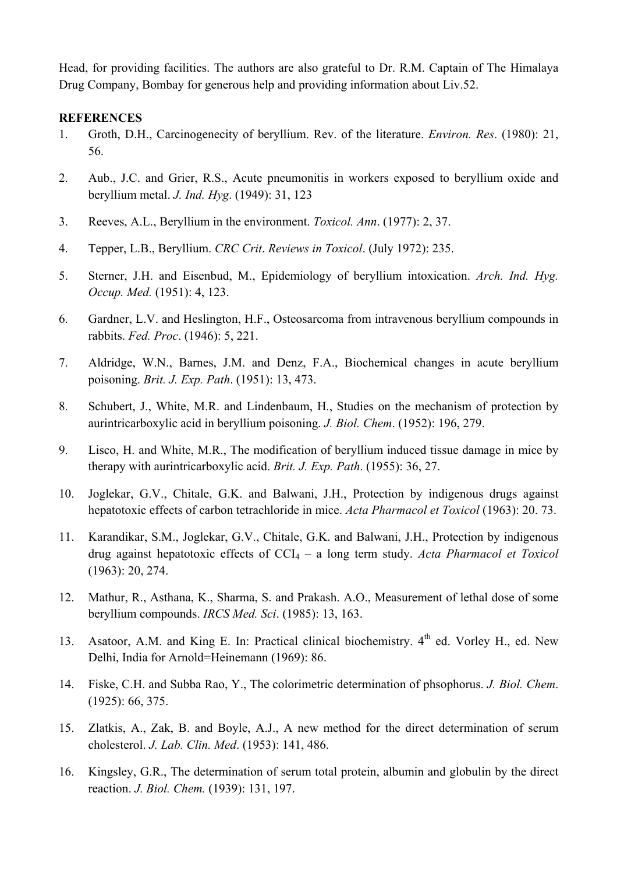Head, for providing facilities. The authors are also grateful to Dr. R.M. Captain of The Himalaya Drug Company, Bombay for generous help and providing information about Liv.52.

### **REFERENCES**

- 1. Groth, D.H., Carcinogenecity of beryllium. Rev. of the literature. *Environ. Res*. (1980): 21, 56.
- 2. Aub., J.C. and Grier, R.S., Acute pneumonitis in workers exposed to beryllium oxide and beryllium metal. *J. Ind. Hyg*. (1949): 31, 123
- 3. Reeves, A.L., Beryllium in the environment. *Toxicol. Ann*. (1977): 2, 37.
- 4. Tepper, L.B., Beryllium. *CRC Crit*. *Reviews in Toxicol*. (July 1972): 235.
- 5. Sterner, J.H. and Eisenbud, M., Epidemiology of beryllium intoxication. *Arch. Ind. Hyg. Occup. Med.* (1951): 4, 123.
- 6. Gardner, L.V. and Heslington, H.F., Osteosarcoma from intravenous beryllium compounds in rabbits. *Fed. Proc*. (1946): 5, 221.
- 7. Aldridge, W.N., Barnes, J.M. and Denz, F.A., Biochemical changes in acute beryllium poisoning. *Brit. J. Exp. Path*. (1951): 13, 473.
- 8. Schubert, J., White, M.R. and Lindenbaum, H., Studies on the mechanism of protection by aurintricarboxylic acid in beryllium poisoning. *J. Biol. Chem*. (1952): 196, 279.
- 9. Lisco, H. and White, M.R., The modification of beryllium induced tissue damage in mice by therapy with aurintricarboxylic acid. *Brit. J. Exp. Path*. (1955): 36, 27.
- 10. Joglekar, G.V., Chitale, G.K. and Balwani, J.H., Protection by indigenous drugs against hepatotoxic effects of carbon tetrachloride in mice. *Acta Pharmacol et Toxicol* (1963): 20. 73.
- 11. Karandikar, S.M., Joglekar, G.V., Chitale, G.K. and Balwani, J.H., Protection by indigenous drug against hepatotoxic effects of CCI4 – a long term study. *Acta Pharmacol et Toxicol*  (1963): 20, 274.
- 12. Mathur, R., Asthana, K., Sharma, S. and Prakash. A.O., Measurement of lethal dose of some beryllium compounds. *IRCS Med. Sci*. (1985): 13, 163.
- 13. Asatoor, A.M. and King E. In: Practical clinical biochemistry.  $4<sup>th</sup>$  ed. Vorley H., ed. New Delhi, India for Arnold=Heinemann (1969): 86.
- 14. Fiske, C.H. and Subba Rao, Y., The colorimetric determination of phsophorus. *J. Biol. Chem*. (1925): 66, 375.
- 15. Zlatkis, A., Zak, B. and Boyle, A.J., A new method for the direct determination of serum cholesterol. *J. Lab. Clin. Med*. (1953): 141, 486.
- 16. Kingsley, G.R., The determination of serum total protein, albumin and globulin by the direct reaction. *J. Biol. Chem.* (1939): 131, 197.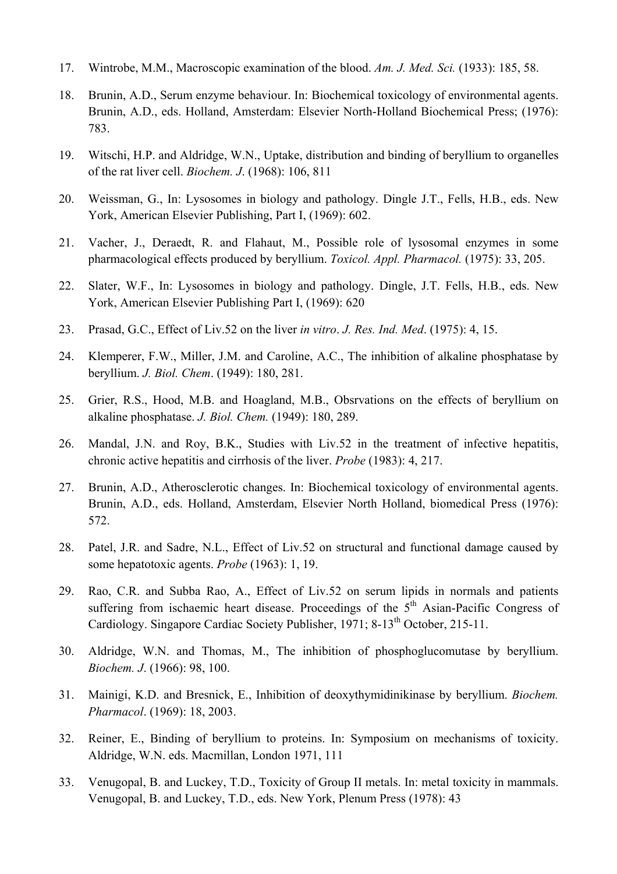- 17. Wintrobe, M.M., Macroscopic examination of the blood. *Am. J. Med. Sci.* (1933): 185, 58.
- 18. Brunin, A.D., Serum enzyme behaviour. In: Biochemical toxicology of environmental agents. Brunin, A.D., eds. Holland, Amsterdam: Elsevier North-Holland Biochemical Press; (1976): 783.
- 19. Witschi, H.P. and Aldridge, W.N., Uptake, distribution and binding of beryllium to organelles of the rat liver cell. *Biochem. J*. (1968): 106, 811
- 20. Weissman, G., In: Lysosomes in biology and pathology. Dingle J.T., Fells, H.B., eds. New York, American Elsevier Publishing, Part I, (1969): 602.
- 21. Vacher, J., Deraedt, R. and Flahaut, M., Possible role of lysosomal enzymes in some pharmacological effects produced by beryllium. *Toxicol. Appl. Pharmacol.* (1975): 33, 205.
- 22. Slater, W.F., In: Lysosomes in biology and pathology. Dingle, J.T. Fells, H.B., eds. New York, American Elsevier Publishing Part I, (1969): 620
- 23. Prasad, G.C., Effect of Liv.52 on the liver *in vitro*. *J. Res. Ind. Med*. (1975): 4, 15.
- 24. Klemperer, F.W., Miller, J.M. and Caroline, A.C., The inhibition of alkaline phosphatase by beryllium. *J. Biol. Chem*. (1949): 180, 281.
- 25. Grier, R.S., Hood, M.B. and Hoagland, M.B., Obsrvations on the effects of beryllium on alkaline phosphatase. *J. Biol. Chem.* (1949): 180, 289.
- 26. Mandal, J.N. and Roy, B.K., Studies with Liv.52 in the treatment of infective hepatitis, chronic active hepatitis and cirrhosis of the liver. *Probe* (1983): 4, 217.
- 27. Brunin, A.D., Atherosclerotic changes. In: Biochemical toxicology of environmental agents. Brunin, A.D., eds. Holland, Amsterdam, Elsevier North Holland, biomedical Press (1976): 572.
- 28. Patel, J.R. and Sadre, N.L., Effect of Liv.52 on structural and functional damage caused by some hepatotoxic agents. *Probe* (1963): 1, 19.
- 29. Rao, C.R. and Subba Rao, A., Effect of Liv.52 on serum lipids in normals and patients suffering from ischaemic heart disease. Proceedings of the 5<sup>th</sup> Asian-Pacific Congress of Cardiology. Singapore Cardiac Society Publisher, 1971; 8-13<sup>th</sup> October, 215-11.
- 30. Aldridge, W.N. and Thomas, M., The inhibition of phosphoglucomutase by beryllium. *Biochem. J*. (1966): 98, 100.
- 31. Mainigi, K.D. and Bresnick, E., Inhibition of deoxythymidinikinase by beryllium. *Biochem. Pharmacol*. (1969): 18, 2003.
- 32. Reiner, E., Binding of beryllium to proteins. In: Symposium on mechanisms of toxicity. Aldridge, W.N. eds. Macmillan, London 1971, 111
- 33. Venugopal, B. and Luckey, T.D., Toxicity of Group II metals. In: metal toxicity in mammals. Venugopal, B. and Luckey, T.D., eds. New York, Plenum Press (1978): 43